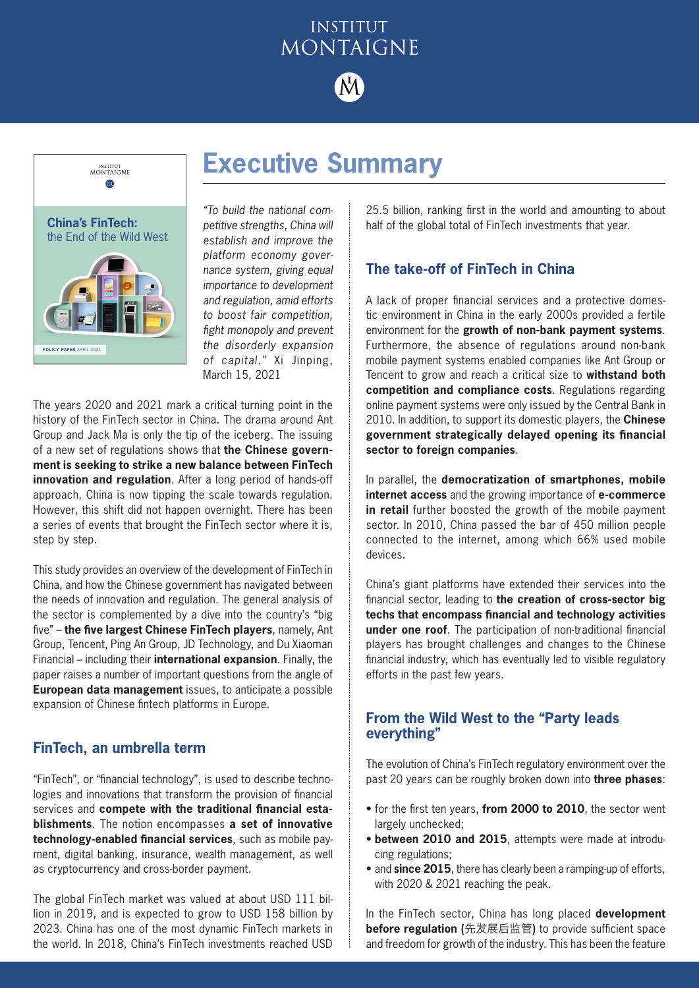# **INSTITUT** MONTAIGNE



**Executive Summary**



*"To build the national competitive strengths, China will establish and improve the platform economy governance system, giving equal importance to development and regulation, amid efforts to boost fair competition, fight monopoly and prevent the disorderly expansion of capital."* Xi Jinping, March 15, 2021

The years 2020 and 2021 mark a critical turning point in the history of the FinTech sector in China. The drama around Ant Group and Jack Ma is only the tip of the iceberg. The issuing of a new set of regulations shows that **the Chinese government is seeking to strike a new balance between FinTech innovation and regulation**. After a long period of hands-off approach, China is now tipping the scale towards regulation. However, this shift did not happen overnight. There has been a series of events that brought the FinTech sector where it is, step by step.

This study provides an overview of the development of FinTech in China, and how the Chinese government has navigated between the needs of innovation and regulation. The general analysis of the sector is complemented by a dive into the country's "big five" – **the five largest Chinese FinTech players**, namely, Ant Group, Tencent, Ping An Group, JD Technology, and Du Xiaoman Financial – including their **international expansion**. Finally, the paper raises a number of important questions from the angle of **European data management** issues, to anticipate a possible expansion of Chinese fintech platforms in Europe.

## **FinTech, an umbrella term**

"FinTech", or "financial technology", is used to describe technologies and innovations that transform the provision of financial services and **compete with the traditional financial establishments**. The notion encompasses **a set of innovative technology-enabled financial services**, such as mobile payment, digital banking, insurance, wealth management, as well as cryptocurrency and cross-border payment.

The global FinTech market was valued at about USD 111 billion in 2019, and is expected to grow to USD 158 billion by 2023. China has one of the most dynamic FinTech markets in the world. In 2018, China's FinTech investments reached USD

25.5 billion, ranking first in the world and amounting to about half of the global total of FinTech investments that year.

# **The take-off of FinTech in China**

A lack of proper financial services and a protective domestic environment in China in the early 2000s provided a fertile environment for the **growth of non-bank payment systems**. Furthermore, the absence of regulations around non-bank mobile payment systems enabled companies like Ant Group or Tencent to grow and reach a critical size to **withstand both competition and compliance costs**. Regulations regarding online payment systems were only issued by the Central Bank in 2010. In addition, to support its domestic players, the **Chinese government strategically delayed opening its financial sector to foreign companies**.

In parallel, the **democratization of smartphones, mobile internet access** and the growing importance of **e-commerce in retail** further boosted the growth of the mobile payment sector. In 2010, China passed the bar of 450 million people connected to the internet, among which 66% used mobile devices.

China's giant platforms have extended their services into the financial sector, leading to **the creation of cross-sector big techs that encompass financial and technology activities under one roof**. The participation of non-traditional financial players has brought challenges and changes to the Chinese financial industry, which has eventually led to visible regulatory efforts in the past few years.

#### **From the Wild West to the "Party leads everything"**

The evolution of China's FinTech regulatory environment over the past 20 years can be roughly broken down into **three phases**:

- for the first ten years, **from 2000 to 2010**, the sector went largely unchecked;
- **between 2010 and 2015**, attempts were made at introducing regulations;
- and **since 2015**, there has clearly been a ramping-up of efforts, with 2020 & 2021 reaching the peak.

In the FinTech sector, China has long placed **development before regulation (**先发展后监管**)** to provide sufficient space and freedom for growth of the industry. This has been the feature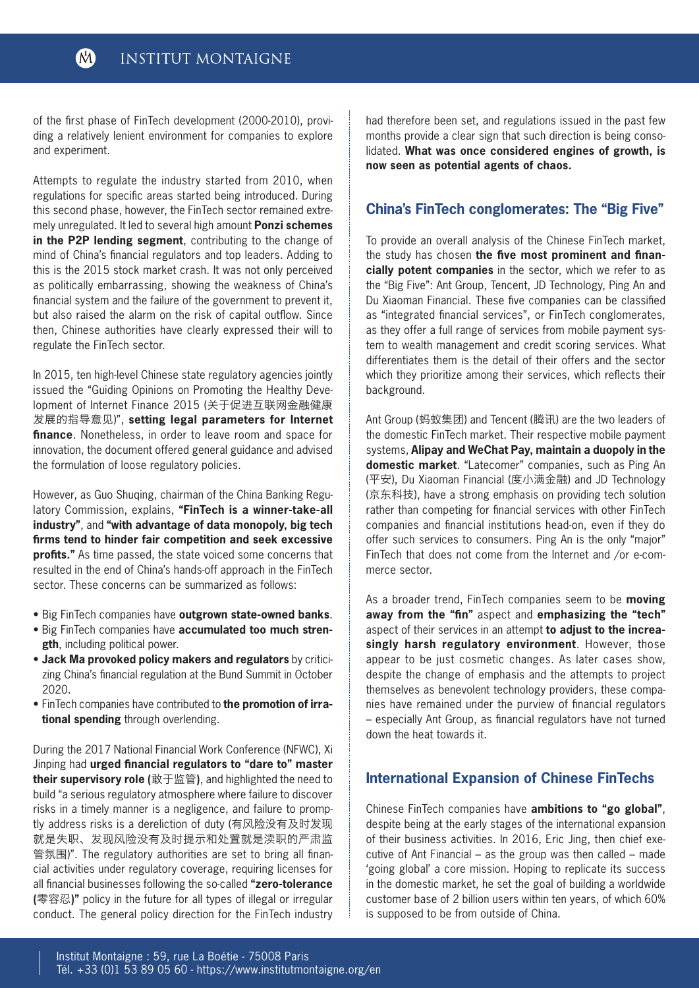of the first phase of FinTech development (2000-2010), providing a relatively lenient environment for companies to explore and experiment.

Attempts to regulate the industry started from 2010, when regulations for specific areas started being introduced. During this second phase, however, the FinTech sector remained extremely unregulated. It led to several high amount **Ponzi schemes in the P2P lending segment**, contributing to the change of mind of China's financial regulators and top leaders. Adding to this is the 2015 stock market crash. It was not only perceived as politically embarrassing, showing the weakness of China's financial system and the failure of the government to prevent it, but also raised the alarm on the risk of capital outflow. Since then, Chinese authorities have clearly expressed their will to regulate the FinTech sector.

In 2015, ten high-level Chinese state regulatory agencies jointly issued the "Guiding Opinions on Promoting the Healthy Development of Internet Finance 2015 (关于促进互联网金融健康 发展的指导意见)", **setting legal parameters for Internet finance**. Nonetheless, in order to leave room and space for innovation, the document offered general guidance and advised the formulation of loose regulatory policies.

However, as Guo Shuqing, chairman of the China Banking Regulatory Commission, explains, **"FinTech is a winner-take-all industry"**, and **"with advantage of data monopoly, big tech firms tend to hinder fair competition and seek excessive profits."** As time passed, the state voiced some concerns that resulted in the end of China's hands-off approach in the FinTech sector. These concerns can be summarized as follows:

- Big FinTech companies have **outgrown state-owned banks**.
- Big FinTech companies have **accumulated too much strength**, including political power.
- **Jack Ma provoked policy makers and regulators** by criticizing China's financial regulation at the Bund Summit in October 2020.
- FinTech companies have contributed to **the promotion of irrational spending** through overlending.

During the 2017 National Financial Work Conference (NFWC), Xi Jinping had **urged financial regulators to "dare to" master their supervisory role (**敢于监管**)**, and highlighted the need to build "a serious regulatory atmosphere where failure to discover risks in a timely manner is a negligence, and failure to promptly address risks is a dereliction of duty (有风险没有及时发现 就是失职、发现风险没有及时提示和处置就是渎职的严肃监 管氛围)". The regulatory authorities are set to bring all financial activities under regulatory coverage, requiring licenses for all financial businesses following the so-called **"zero-tolerance (**零容忍**)"** policy in the future for all types of illegal or irregular conduct. The general policy direction for the FinTech industry had therefore been set, and regulations issued in the past few months provide a clear sign that such direction is being consolidated. **What was once considered engines of growth, is now seen as potential agents of chaos.**

# **China's FinTech conglomerates: The "Big Five"**

To provide an overall analysis of the Chinese FinTech market, the study has chosen **the five most prominent and financially potent companies** in the sector, which we refer to as the "Big Five": Ant Group, Tencent, JD Technology, Ping An and Du Xiaoman Financial. These five companies can be classified as "integrated financial services", or FinTech conglomerates, as they offer a full range of services from mobile payment system to wealth management and credit scoring services. What differentiates them is the detail of their offers and the sector which they prioritize among their services, which reflects their background.

Ant Group (蚂蚁集团) and Tencent (腾讯) are the two leaders of the domestic FinTech market. Their respective mobile payment systems, **Alipay and WeChat Pay, maintain a duopoly in the domestic market**. "Latecomer" companies, such as Ping An (平安), Du Xiaoman Financial (度小满金融) and JD Technology (京东科技), have a strong emphasis on providing tech solution rather than competing for financial services with other FinTech companies and financial institutions head-on, even if they do offer such services to consumers. Ping An is the only "major" FinTech that does not come from the Internet and /or e-commerce sector.

As a broader trend, FinTech companies seem to be **moving away from the "fin"** aspect and **emphasizing the "tech"** aspect of their services in an attempt **to adjust to the increasingly harsh regulatory environment**. However, those appear to be just cosmetic changes. As later cases show, despite the change of emphasis and the attempts to project themselves as benevolent technology providers, these companies have remained under the purview of financial regulators – especially Ant Group, as financial regulators have not turned down the heat towards it.

## **International Expansion of Chinese FinTechs**

Chinese FinTech companies have **ambitions to "go global"**, despite being at the early stages of the international expansion of their business activities. In 2016, Eric Jing, then chief executive of Ant Financial – as the group was then called – made 'going global' a core mission. Hoping to replicate its success in the domestic market, he set the goal of building a worldwide customer base of 2 billion users within ten years, of which 60% is supposed to be from outside of China.